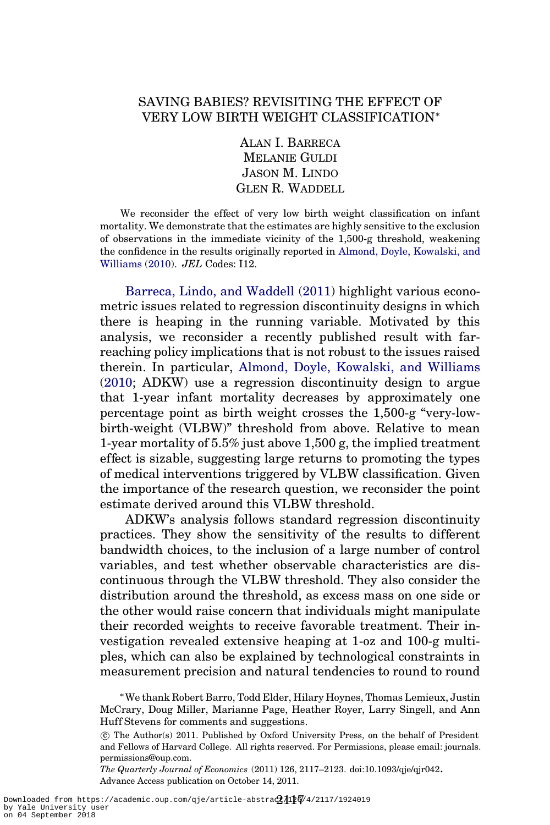## SAVING BABIES? REVISITING THE EFFECT OF VERY LOW BIRTH WEIGHT CLASSIFICATION∗

ALAN I. BARRECA MELANIE GULDI JASON M. LINDO GLEN R. WADDELL

We reconsider the effect of very low birth weight classification on infant mortality. We demonstrate that the estimates are highly sensitive to the exclusion of observations in the immediate vicinity of the 1,500-g threshold, weakening the confidence in the results originally reported in [Almond, Doyle, Kowalski, and](#page-6-0) [Williams](#page-6-0) [\(2010](#page-6-0)). *JEL* Codes: I12.

[Barreca, Lindo, and Waddell](#page-6-0) [\(2011\)](#page-6-0) highlight various econometric issues related to regression discontinuity designs in which there is heaping in the running variable. Motivated by this analysis, we reconsider a recently published result with farreaching policy implications that is not robust to the issues raised therein. In particular, [Almond, Doyle, Kowalski, and Williams](#page-6-0) [\(2010](#page-6-0); ADKW) use a regression discontinuity design to argue that 1-year infant mortality decreases by approximately one percentage point as birth weight crosses the 1,500-g "very-lowbirth-weight (VLBW)" threshold from above. Relative to mean 1-year mortality of  $5.5\%$  just above  $1,500$  g, the implied treatment effect is sizable, suggesting large returns to promoting the types of medical interventions triggered by VLBW classification. Given the importance of the research question, we reconsider the point estimate derived around this VLBW threshold.

ADKW's analysis follows standard regression discontinuity practices. They show the sensitivity of the results to different bandwidth choices, to the inclusion of a large number of control variables, and test whether observable characteristics are discontinuous through the VLBW threshold. They also consider the distribution around the threshold, as excess mass on one side or the other would raise concern that individuals might manipulate their recorded weights to receive favorable treatment. Their investigation revealed extensive heaping at 1-oz and 100-g multiples, which can also be explained by technological constraints in measurement precision and natural tendencies to round to round

*The Quarterly Journal of Economics* (2011) 126, 2117–2123. doi:10.1093/qje/qjr042. Advance Access publication on October 14, 2011.

<sup>∗</sup>WethankRobert Barro, ToddElder, HilaryHoynes, Thomas Lemieux, Justin McCrary, Doug Miller, Marianne Page, Heather Royer, Larry Singell, and Ann Huff Stevens for comments and suggestions.

c The Author(s) 2011. Published by Oxford University Press, on the behalf of President and Fellows of Harvard College. All rights reserved. For Permissions, please email: journals. permissions@oup.com.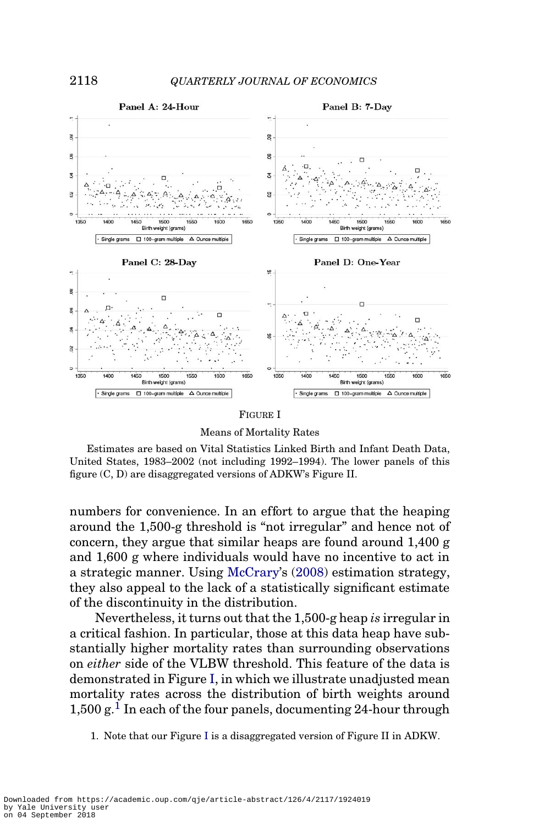<span id="page-1-0"></span>

Means of Mortality Rates

Estimates are based on Vital Statistics Linked Birth and Infant Death Data, United States, 1983–2002 (not including 1992–1994). The lower panels of this figure (C, D) are disaggregated versions of ADKW's Figure II.

numbers for convenience. In an effort to argue that the heaping around the 1,500-g threshold is "not irregular" and hence not of concern, they argue that similar heaps are found around 1,400 g and 1,600 g where individuals would have no incentive to act in a strategic manner. Using [McCrary'](#page-6-0)s [\(2008\)](#page-6-0) estimation strategy, they also appeal to the lack of a statistically significant estimate of the discontinuity in the distribution.

Nevertheless, it turns out that the1,500-gheap*is* irregularin a critical fashion. In particular, those at this data heap have substantially higher mortality rates than surrounding observations on *either* side of the VLBW threshold. This feature of the data is demonstrated in Figure I, in which we illustrate unadjusted mean mortality rates across the distribution of birth weights around  $1,500$  g.<sup>1</sup> In each of the four panels, documenting 24-hour through

<sup>1.</sup> Note that our Figure I is a disaggregated version of Figure II in ADKW.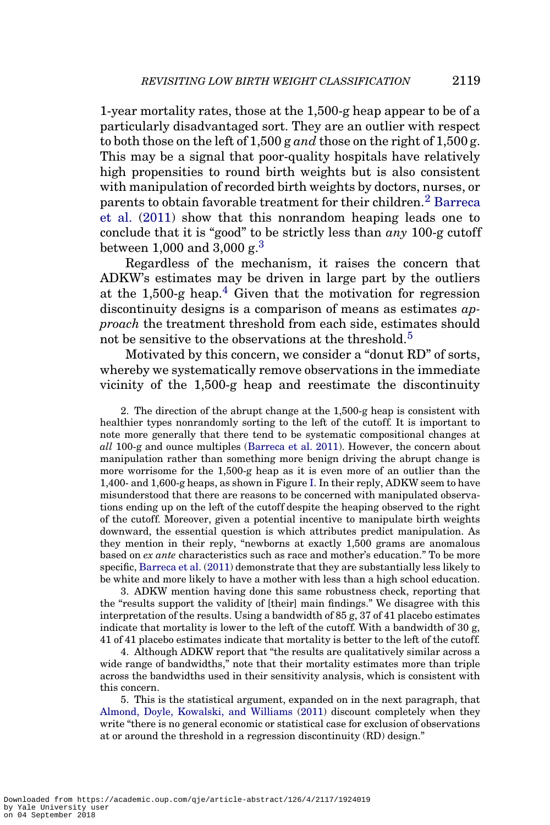1-year mortality rates, those at the 1,500-g heap appear to be of a particularly disadvantaged sort. They are an outlier with respect to both those on the left of  $1,500$  g *and* those on the right of  $1,500$  g. This may be a signal that poor-quality hospitals have relatively high propensities to round birth weights but is also consistent with manipulation of recorded birth weights by doctors, nurses, or parents to obtain favorable treatment for their children.<sup>2</sup> [Barreca](#page-6-0) [et al.](#page-6-0) [\(2011\)](#page-6-0) show that this nonrandom heaping leads one to conclude that it is "good" to be strictly less than *any* 100-g cutoff between 1,000 and 3,000  $\epsilon$ <sup>3</sup>

Regardless of the mechanism, it raises the concern that ADKW's estimates may be driven in large part by the outliers at the 1,500-g heap.<sup>4</sup> Given that the motivation for regression discontinuity designs is a comparison of means as estimates *approach* the treatment threshold from each side, estimates should not be sensitive to the observations at the threshold.<sup>5</sup>

Motivated by this concern, we consider a "donut RD" of sorts, whereby we systematically remove observations in the immediate vicinity of the 1,500-g heap and reestimate the discontinuity

2. The direction of the abrupt change at the 1,500-g heap is consistent with healthier types nonrandomly sorting to the left of the cutoff. It is important to note more generally that there tend to be systematic compositional changes at *all* 100-g and ounce multiples ([Barreca et al. 2011\)](#page-6-0). However, the concern about manipulation rather than something more benign driving the abrupt change is more worrisome for the 1,500-g heap as it is even more of an outlier than the 1,400- and 1,600-g heaps, as shown in Figure [I.](#page-1-0) In their reply, ADKW seem to have misunderstood that there are reasons to be concerned with manipulated observations ending up on the left of the cutoff despite the heaping observed to the right of the cutoff. Moreover, given a potential incentive to manipulate birth weights downward, the essential question is which attributes predict manipulation. As they mention in their reply, "newborns at exactly 1,500 grams are anomalous based on *ex ante* characteristics such as race and mother's education." To be more specific, [Barreca et al.](#page-6-0) [\(2011\)](#page-6-0) demonstrate that they are substantially less likely to be white and more likely to have a mother with less than a high school education.

3. ADKW mention having done this same robustness check, reporting that the "results support the validity of [their] main findings." We disagree with this interpretation of the results. Using a bandwidth of  $85 g$ ,  $37 g 41$  placebo estimates indicate that mortality is lower to the left of the cutoff. With a bandwidth of 30 g, 41 of 41 placebo estimates indicate that mortality is better to the left of the cutoff.

4. Although ADKW report that "the results are qualitatively similar across a wide range of bandwidths," note that their mortality estimates more than triple across the bandwidths used in their sensitivity analysis, which is consistent with this concern.

5. This is the statistical argument, expanded on in the next paragraph, that [Almond, Doyle, Kowalski, and Williams](#page-6-0) [\(2011\)](#page-6-0) discount completely when they write "there is no general economic or statistical case for exclusion of observations at or around the threshold in a regression discontinuity (RD) design."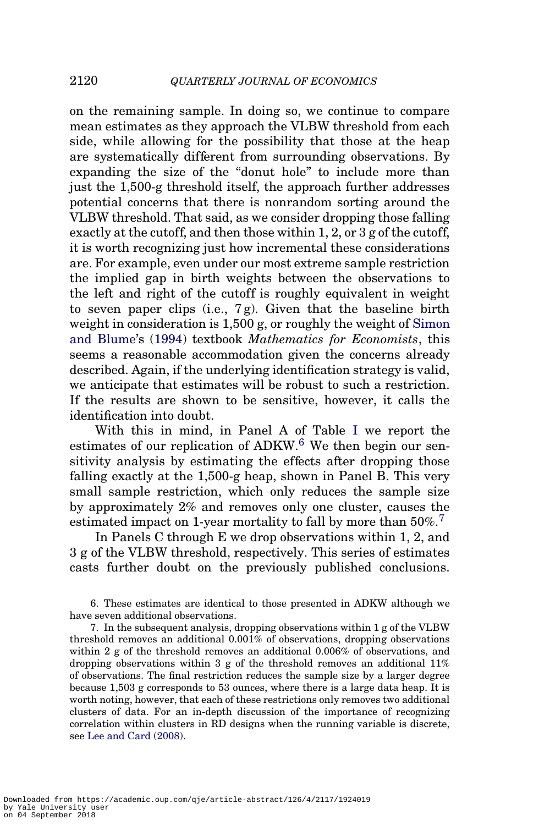on the remaining sample. In doing so, we continue to compare mean estimates as they approach the VLBW threshold from each side, while allowing for the possibility that those at the heap are systematically different from surrounding observations. By expanding the size of the "donut hole" to include more than just the 1,500-g threshold itself, the approach further addresses potential concerns that there is nonrandom sorting around the VLBW threshold. That said, as we consider dropping those falling exactly at the cutoff, and then those within  $1, 2$ , or  $3$  g of the cutoff, it is worth recognizing just how incremental these considerations are. For example, even under our most extreme sample restriction the implied gap in birth weights between the observations to the left and right of the cutoff is roughly equivalent in weight to seven paper clips (i.e.,  $7g$ ). Given that the baseline birth weight in consideration is 1,500 g, or roughly the weight of [Simon](#page-6-0) [and Blume'](#page-6-0)s [\(1994\)](#page-6-0) textbook *Mathematics for Economists*, this seems a reasonable accommodation given the concerns already described. Again, if the underlying identification strategy is valid, we anticipate that estimates will be robust to such a restriction. If the results are shown to be sensitive, however, it calls the identification into doubt.

With this in mind, in Panel A of Table [I](#page-4-0) we report the estimates of our replication of ADKW.<sup>6</sup> We then begin our sensitivity analysis by estimating the effects after dropping those falling exactly at the 1,500-g heap, shown in Panel B. This very small sample restriction, which only reduces the sample size by approximately 2% and removes only one cluster, causes the estimated impact on 1-year mortality to fall by more than  $50\%$ <sup>7</sup>

In Panels C through E we drop observations within 1, 2, and 3 g of the VLBW threshold, respectively. This series of estimates casts further doubt on the previously published conclusions.

6. These estimates are identical to those presented in ADKW although we have seven additional observations.

7. In the subsequent analysis, dropping observations within 1 g of the VLBW threshold removes an additional 0.001% of observations, dropping observations within 2 g of the threshold removes an additional 0.006% of observations, and dropping observations within 3 g of the threshold removes an additional  $11\%$ of observations. The final restriction reduces the sample size by a larger degree because 1,503 g corresponds to 53 ounces, where there is a large data heap. It is worth noting, however, that each of these restrictions only removes two additional clusters of data. For an in-depth discussion of the importance of recognizing correlation within clusters in RD designs when the running variable is discrete, see [Lee and Card](#page-6-0) [\(2008](#page-6-0)).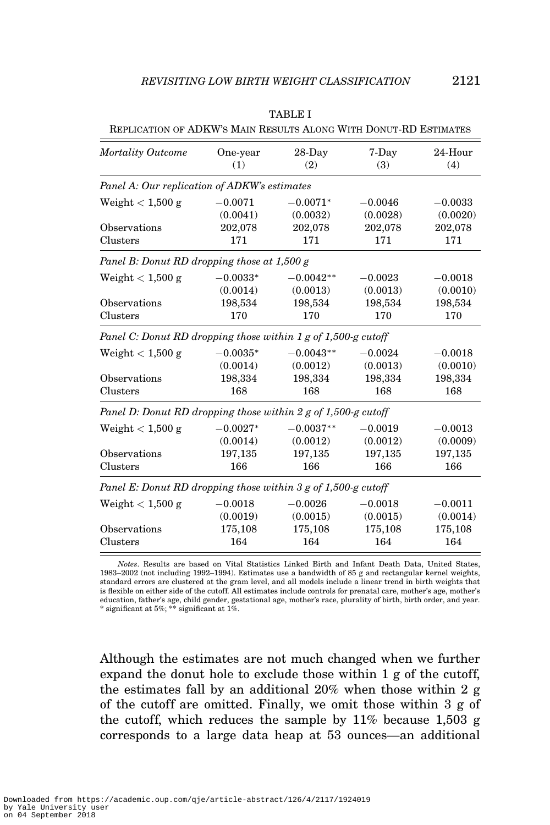| One-year<br>(1)                              | $28$ -Day<br>(2) | 7-Day<br>(3)                                | 24-Hour<br>(4)                                                                                                                                                                                   |  |  |
|----------------------------------------------|------------------|---------------------------------------------|--------------------------------------------------------------------------------------------------------------------------------------------------------------------------------------------------|--|--|
| Panel A: Our replication of ADKW's estimates |                  |                                             |                                                                                                                                                                                                  |  |  |
| $-0.0071$                                    | $-0.0071*$       | $-0.0046$                                   | $-0.0033$                                                                                                                                                                                        |  |  |
| (0.0041)                                     | (0.0032)         | (0.0028)                                    | (0.0020)                                                                                                                                                                                         |  |  |
| 202,078                                      | 202,078          | 202,078                                     | 202,078                                                                                                                                                                                          |  |  |
| 171                                          | 171              | 171                                         | 171                                                                                                                                                                                              |  |  |
|                                              |                  |                                             |                                                                                                                                                                                                  |  |  |
| $-0.0033*$                                   | $-0.0042**$      | $-0.0023$                                   | $-0.0018$                                                                                                                                                                                        |  |  |
| (0.0014)                                     | (0.0013)         | (0.0013)                                    | (0.0010)                                                                                                                                                                                         |  |  |
| 198,534                                      | 198,534          | 198,534                                     | 198,534                                                                                                                                                                                          |  |  |
| 170                                          | 170              | 170                                         | 170                                                                                                                                                                                              |  |  |
|                                              |                  |                                             |                                                                                                                                                                                                  |  |  |
| $-0.0035*$                                   | $-0.0043**$      | $-0.0024$                                   | $-0.0018$                                                                                                                                                                                        |  |  |
| (0.0014)                                     | (0.0012)         | (0.0013)                                    | (0.0010)                                                                                                                                                                                         |  |  |
| 198,334                                      | 198,334          | 198,334                                     | 198,334                                                                                                                                                                                          |  |  |
| 168                                          | 168              | 168                                         | 168                                                                                                                                                                                              |  |  |
|                                              |                  |                                             |                                                                                                                                                                                                  |  |  |
| $-0.0027*$                                   | $-0.0037**$      | $-0.0019$                                   | $-0.0013$                                                                                                                                                                                        |  |  |
| (0.0014)                                     | (0.0012)         | (0.0012)                                    | (0.0009)                                                                                                                                                                                         |  |  |
| 197,135                                      | 197,135          | 197,135                                     | 197,135                                                                                                                                                                                          |  |  |
| 166                                          | 166              | 166                                         | 166                                                                                                                                                                                              |  |  |
|                                              |                  |                                             |                                                                                                                                                                                                  |  |  |
| $-0.0018$                                    | $-0.0026$        | $-0.0018$                                   | $-0.0011$                                                                                                                                                                                        |  |  |
| (0.0019)                                     | (0.0015)         | (0.0015)                                    | (0.0014)                                                                                                                                                                                         |  |  |
| 175,108                                      | 175,108          | 175,108                                     | 175,108                                                                                                                                                                                          |  |  |
| 164                                          | 164              | 164                                         | 164                                                                                                                                                                                              |  |  |
|                                              |                  | Panel B: Donut RD dropping those at 1,500 g | Panel C: Donut RD dropping those within 1 g of 1,500-g cutoff<br>Panel D: Donut RD dropping those within $2g$ of 1,500-g cutoff<br>Panel E: Donut RD dropping those within 3 g of 1,500-g cutoff |  |  |

|  |  | . . |  |  |
|--|--|-----|--|--|
|--|--|-----|--|--|

<span id="page-4-0"></span>REPLICATION OF ADKW'S MAIN RESULTS ALONG WITH DONUT-RD ESTIMATES

*Notes*. Results are based on Vital Statistics Linked Birth and Infant Death Data, United States, 1983–2002 (not including 1992–1994). Estimates use a bandwidth of 85 g and rectangular kernel weights, standard errors are clustered at the gram level, and all models include a linear trend in birth weights that is flexible on either side of the cutoff. All estimates include controls for prenatal care, mother's age, mother's education, father's age, child gender, gestational age, mother's race, plurality of birth, birth order, and year. \* significant at 5%; \*\* significant at 1%.

Although the estimates are not much changed when we further expand the donut hole to exclude those within 1 g of the cutoff, the estimates fall by an additional 20% when those within 2 g of the cutoff are omitted. Finally, we omit those within 3 g of the cutoff, which reduces the sample by 11% because 1,503 g corresponds to a large data heap at 53 ounces—an additional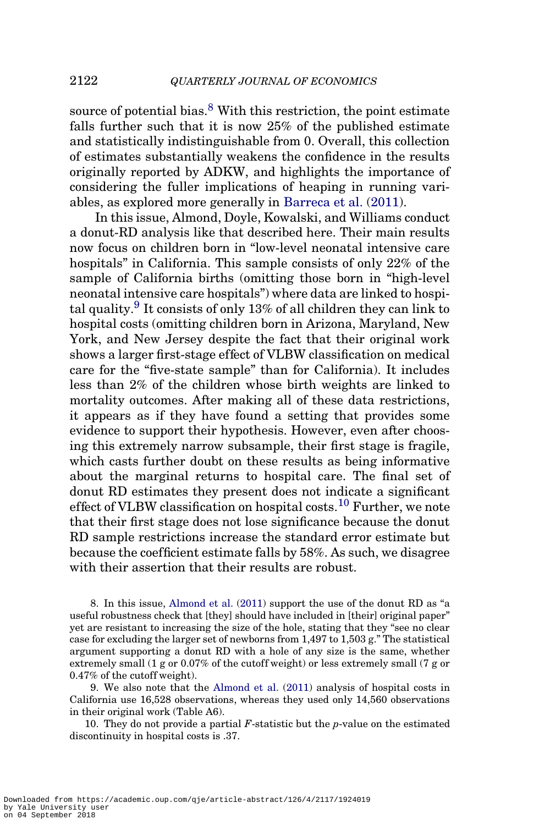source of potential bias. $8$  With this restriction, the point estimate falls further such that it is now 25% of the published estimate and statistically indistinguishable from 0. Overall, this collection of estimates substantially weakens the confidence in the results originally reported by ADKW, and highlights the importance of considering the fuller implications of heaping in running variables, as explored more generally in [Barreca et al.](#page-6-0) [\(2011\)](#page-6-0).

In this issue, Almond, Doyle, Kowalski, and Williams conduct a donut-RD analysis like that described here. Their main results now focus on children born in "low-level neonatal intensive care hospitals" in California. This sample consists of only 22% of the sample of California births (omitting those born in "high-level neonatal intensive care hospitals") where data are linked to hospital quality.<sup>9</sup> It consists of only 13% of all children they can link to hospital costs (omitting children born in Arizona, Maryland, New York, and New Jersey despite the fact that their original work shows a larger first-stage effect of VLBW classification on medical care for the "five-state sample" than for California). It includes less than 2% of the children whose birth weights are linked to mortality outcomes. After making all of these data restrictions, it appears as if they have found a setting that provides some evidence to support their hypothesis. However, even after choosing this extremely narrow subsample, their first stage is fragile, which casts further doubt on these results as being informative about the marginal returns to hospital care. The final set of donut RD estimates they present does not indicate a significant effect of VLBW classification on hospital costs.<sup>10</sup> Further, we note that their first stage does not lose significance because the donut RD sample restrictions increase the standard error estimate but because the coefficient estimate falls by 58%. As such, we disagree with their assertion that their results are robust.

8. In this issue, [Almond et al.](#page-6-0) [\(2011](#page-6-0)) support the use of the donut RD as "a useful robustness check that [they] should have included in [their] original paper" yet are resistant to increasing the size of the hole, stating that they "see no clear case for excluding the larger set of newborns from  $1,497$  to  $1,503$  g." The statistical argument supporting a donut RD with a hole of any size is the same, whether extremely small (1 g or 0.07% of the cutoff weight) or less extremely small (7 g or 0.47% of the cutoff weight).

9. We also note that the [Almond et al.](#page-6-0) [\(2011\)](#page-6-0) analysis of hospital costs in California use 16,528 observations, whereas they used only 14,560 observations in their original work (Table A6).

10. They do not provide a partial *F*-statistic but the *p*-value on the estimated discontinuity in hospital costs is .37.